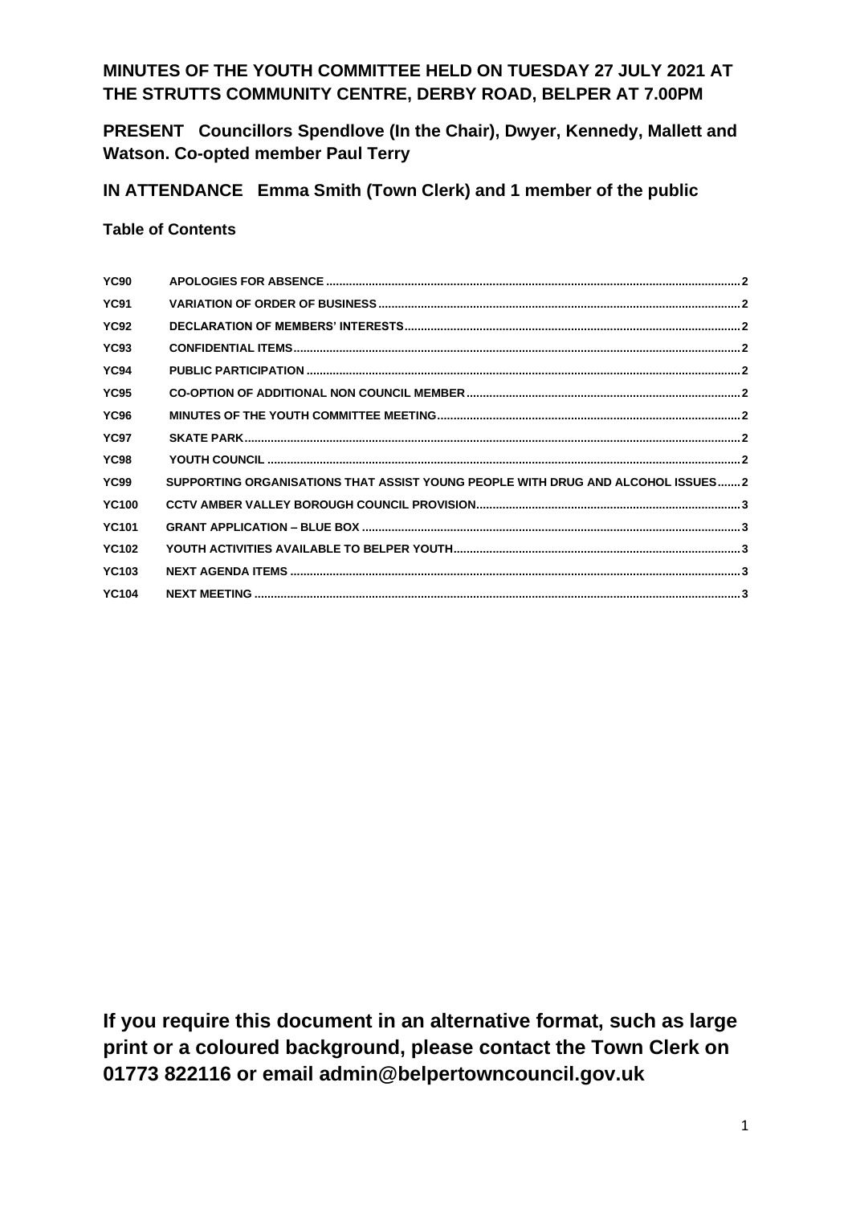# **MINUTES OF THE YOUTH COMMITTEE HELD ON TUESDAY 27 JULY 2021 AT THE STRUTTS COMMUNITY CENTRE, DERBY ROAD, BELPER AT 7.00PM**

**PRESENT Councillors Spendlove (In the Chair), Dwyer, Kennedy, Mallett and Watson. Co-opted member Paul Terry**

**IN ATTENDANCE Emma Smith (Town Clerk) and 1 member of the public**

#### **Table of Contents**

| <b>YC90</b>  |                                                                                 |  |
|--------------|---------------------------------------------------------------------------------|--|
| <b>YC91</b>  |                                                                                 |  |
| <b>YC92</b>  |                                                                                 |  |
| <b>YC93</b>  |                                                                                 |  |
| <b>YC94</b>  |                                                                                 |  |
| <b>YC95</b>  |                                                                                 |  |
| <b>YC96</b>  |                                                                                 |  |
| <b>YC97</b>  |                                                                                 |  |
| <b>YC98</b>  |                                                                                 |  |
| <b>YC99</b>  | SUPPORTING ORGANISATIONS THAT ASSIST YOUNG PEOPLE WITH DRUG AND ALCOHOL ISSUES2 |  |
| <b>YC100</b> |                                                                                 |  |
| <b>YC101</b> |                                                                                 |  |
| <b>YC102</b> |                                                                                 |  |
| <b>YC103</b> |                                                                                 |  |
| <b>YC104</b> |                                                                                 |  |
|              |                                                                                 |  |

**If you require this document in an alternative format, such as large print or a coloured background, please contact the Town Clerk on 01773 822116 or email admin@belpertowncouncil.gov.uk**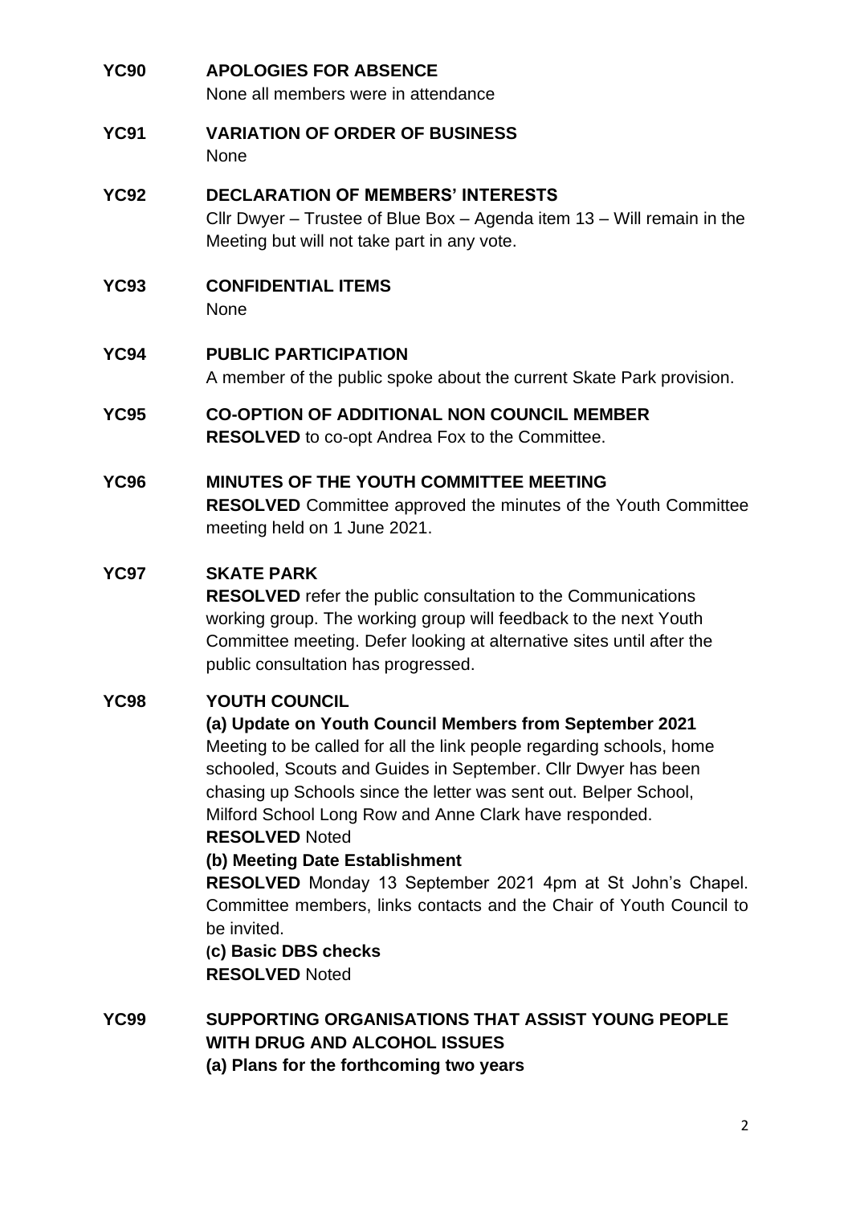<span id="page-1-9"></span><span id="page-1-8"></span><span id="page-1-7"></span><span id="page-1-6"></span><span id="page-1-5"></span><span id="page-1-4"></span><span id="page-1-3"></span><span id="page-1-2"></span><span id="page-1-1"></span><span id="page-1-0"></span>

| <b>YC90</b> | <b>APOLOGIES FOR ABSENCE</b><br>None all members were in attendance                                                                                                                                                                                                                                                                                                                                                                                                                                                                                                                                                    |
|-------------|------------------------------------------------------------------------------------------------------------------------------------------------------------------------------------------------------------------------------------------------------------------------------------------------------------------------------------------------------------------------------------------------------------------------------------------------------------------------------------------------------------------------------------------------------------------------------------------------------------------------|
| <b>YC91</b> | <b>VARIATION OF ORDER OF BUSINESS</b><br>None                                                                                                                                                                                                                                                                                                                                                                                                                                                                                                                                                                          |
| <b>YC92</b> | <b>DECLARATION OF MEMBERS' INTERESTS</b><br>Cllr Dwyer – Trustee of Blue Box – Agenda item $13$ – Will remain in the<br>Meeting but will not take part in any vote.                                                                                                                                                                                                                                                                                                                                                                                                                                                    |
| <b>YC93</b> | <b>CONFIDENTIAL ITEMS</b><br><b>None</b>                                                                                                                                                                                                                                                                                                                                                                                                                                                                                                                                                                               |
| <b>YC94</b> | <b>PUBLIC PARTICIPATION</b><br>A member of the public spoke about the current Skate Park provision.                                                                                                                                                                                                                                                                                                                                                                                                                                                                                                                    |
| <b>YC95</b> | <b>CO-OPTION OF ADDITIONAL NON COUNCIL MEMBER</b><br><b>RESOLVED</b> to co-opt Andrea Fox to the Committee.                                                                                                                                                                                                                                                                                                                                                                                                                                                                                                            |
| <b>YC96</b> | MINUTES OF THE YOUTH COMMITTEE MEETING<br><b>RESOLVED</b> Committee approved the minutes of the Youth Committee<br>meeting held on 1 June 2021.                                                                                                                                                                                                                                                                                                                                                                                                                                                                        |
| <b>YC97</b> | <b>SKATE PARK</b><br><b>RESOLVED</b> refer the public consultation to the Communications<br>working group. The working group will feedback to the next Youth<br>Committee meeting. Defer looking at alternative sites until after the<br>public consultation has progressed.                                                                                                                                                                                                                                                                                                                                           |
| <b>YC98</b> | <b>YOUTH COUNCIL</b><br>(a) Update on Youth Council Members from September 2021<br>Meeting to be called for all the link people regarding schools, home<br>schooled, Scouts and Guides in September. Cllr Dwyer has been<br>chasing up Schools since the letter was sent out. Belper School,<br>Milford School Long Row and Anne Clark have responded.<br><b>RESOLVED Noted</b><br>(b) Meeting Date Establishment<br>RESOLVED Monday 13 September 2021 4pm at St John's Chapel.<br>Committee members, links contacts and the Chair of Youth Council to<br>be invited.<br>(c) Basic DBS checks<br><b>RESOLVED Noted</b> |
| <b>YC99</b> | SUPPORTING ORGANISATIONS THAT ASSIST YOUNG PEOPLE<br><b>WITH DRUG AND ALCOHOL ISSUES</b><br>(a) Plans for the forthcoming two years                                                                                                                                                                                                                                                                                                                                                                                                                                                                                    |